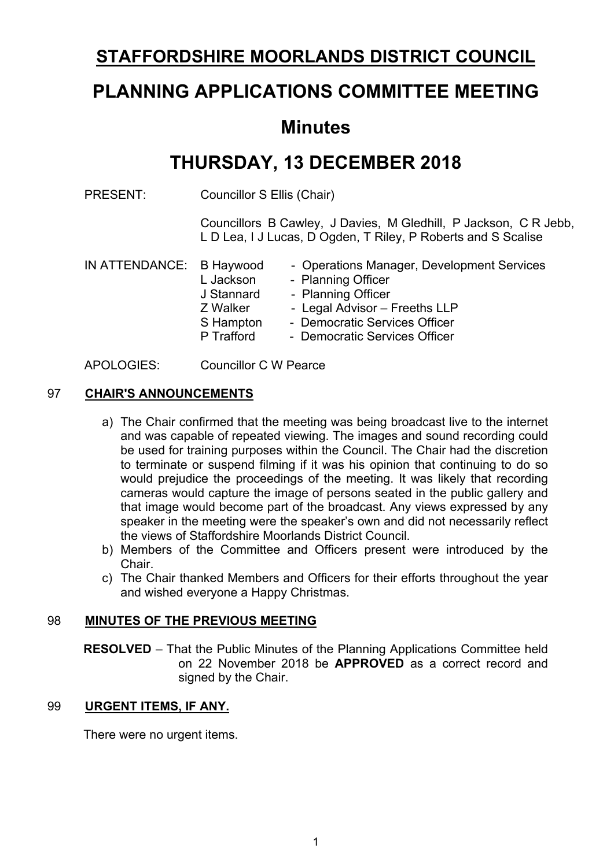# **STAFFORDSHIRE MOORLANDS DISTRICT COUNCIL**

# **PLANNING APPLICATIONS COMMITTEE MEETING**

## **Minutes**

# **THURSDAY, 13 DECEMBER 2018**

PRESENT: Councillor S Ellis (Chair)

Councillors B Cawley, J Davies, M Gledhill, P Jackson, C R Jebb, L D Lea, I J Lucas, D Ogden, T Riley, P Roberts and S Scalise

| IN ATTENDANCE: B Haywood |            | - Operations Manager, Development Services |  |  |
|--------------------------|------------|--------------------------------------------|--|--|
|                          | L Jackson  | - Planning Officer                         |  |  |
|                          | J Stannard | - Planning Officer                         |  |  |
|                          | Z Walker   | - Legal Advisor - Freeths LLP              |  |  |
|                          | S Hampton  | - Democratic Services Officer              |  |  |
|                          | P Trafford | - Democratic Services Officer              |  |  |
|                          |            |                                            |  |  |

APOLOGIES: Councillor C W Pearce

## 97 **CHAIR'S ANNOUNCEMENTS**

- a) The Chair confirmed that the meeting was being broadcast live to the internet and was capable of repeated viewing. The images and sound recording could be used for training purposes within the Council. The Chair had the discretion to terminate or suspend filming if it was his opinion that continuing to do so would prejudice the proceedings of the meeting. It was likely that recording cameras would capture the image of persons seated in the public gallery and that image would become part of the broadcast. Any views expressed by any speaker in the meeting were the speaker's own and did not necessarily reflect the views of Staffordshire Moorlands District Council.
- b) Members of the Committee and Officers present were introduced by the Chair.
- c) The Chair thanked Members and Officers for their efforts throughout the year and wished everyone a Happy Christmas.

#### 98 **MINUTES OF THE PREVIOUS MEETING**

**RESOLVED** – That the Public Minutes of the Planning Applications Committee held on 22 November 2018 be **APPROVED** as a correct record and signed by the Chair.

#### 99 **URGENT ITEMS, IF ANY.**

There were no urgent items.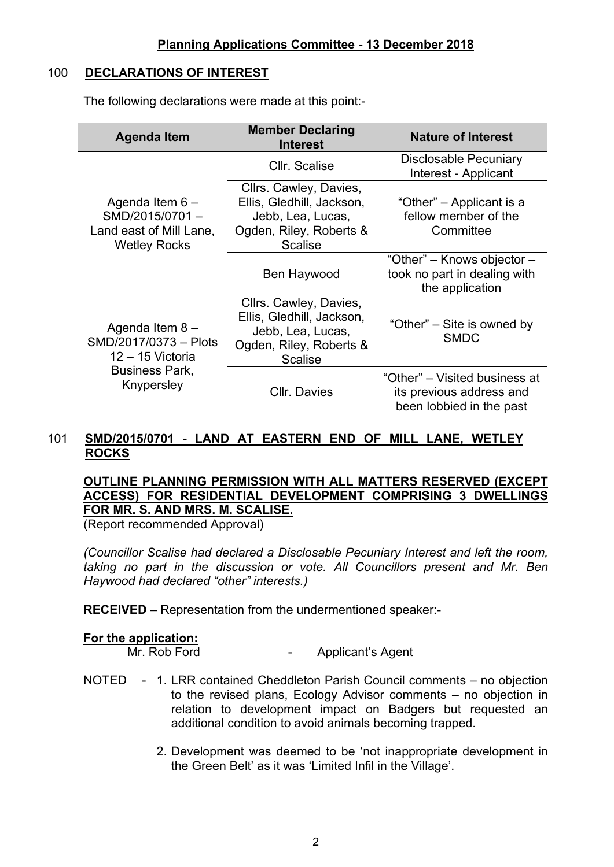#### 100 **DECLARATIONS OF INTEREST**

The following declarations were made at this point:-

| <b>Agenda Item</b>                                                                    | <b>Member Declaring</b><br><b>Interest</b>                                                                            | <b>Nature of Interest</b>                                                             |  |
|---------------------------------------------------------------------------------------|-----------------------------------------------------------------------------------------------------------------------|---------------------------------------------------------------------------------------|--|
|                                                                                       | Cllr. Scalise                                                                                                         | Disclosable Pecuniary<br>Interest - Applicant                                         |  |
| Agenda Item $6 -$<br>SMD/2015/0701-<br>Land east of Mill Lane,<br><b>Wetley Rocks</b> | Cllrs. Cawley, Davies,<br>Ellis, Gledhill, Jackson,<br>Jebb, Lea, Lucas,<br>Ogden, Riley, Roberts &<br><b>Scalise</b> | "Other" – Applicant is a<br>fellow member of the<br>Committee                         |  |
|                                                                                       | Ben Haywood                                                                                                           | "Other" – Knows objector –<br>took no part in dealing with<br>the application         |  |
| Agenda Item $8 -$<br>SMD/2017/0373 - Plots<br>12 - 15 Victoria                        | Cllrs. Cawley, Davies,<br>Ellis, Gledhill, Jackson,<br>Jebb, Lea, Lucas,<br>Ogden, Riley, Roberts &<br><b>Scalise</b> | "Other" – Site is owned by<br><b>SMDC</b>                                             |  |
| <b>Business Park,</b><br>Knypersley                                                   | <b>CIIr. Davies</b>                                                                                                   | "Other" – Visited business at<br>its previous address and<br>been lobbied in the past |  |

#### 101 **SMD/2015/0701 - LAND AT EASTERN END OF MILL LANE, WETLEY ROCKS**

## **OUTLINE PLANNING PERMISSION WITH ALL MATTERS RESERVED (EXCEPT ACCESS) FOR RESIDENTIAL DEVELOPMENT COMPRISING 3 DWELLINGS FOR MR. S. AND MRS. M. SCALISE.**

(Report recommended Approval)

*(Councillor Scalise had declared a Disclosable Pecuniary Interest and left the room, taking no part in the discussion or vote. All Councillors present and Mr. Ben Haywood had declared "other" interests.)*

**RECEIVED** – Representation from the undermentioned speaker:-

# **For the application:**

Applicant's Agent

- NOTED 1. LRR contained Cheddleton Parish Council comments no objection to the revised plans, Ecology Advisor comments – no objection in relation to development impact on Badgers but requested an additional condition to avoid animals becoming trapped.
	- 2. Development was deemed to be 'not inappropriate development in the Green Belt' as it was 'Limited Infil in the Village'.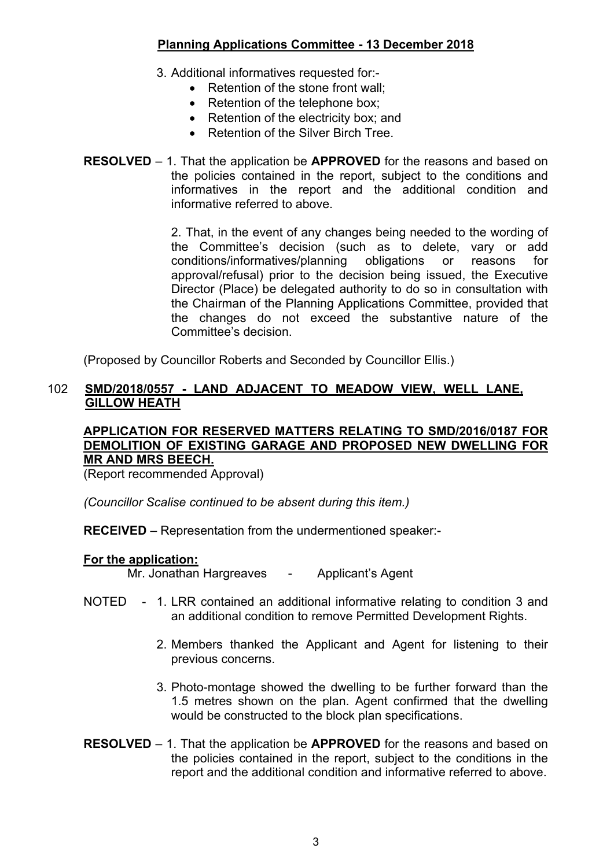## 3. Additional informatives requested for:-

- Retention of the stone front wall:
- Retention of the telephone box;
- Retention of the electricity box; and
- Retention of the Silver Birch Tree
- **RESOLVED** 1. That the application be **APPROVED** for the reasons and based on the policies contained in the report, subject to the conditions and informatives in the report and the additional condition and informative referred to above.

2. That, in the event of any changes being needed to the wording of the Committee's decision (such as to delete, vary or add conditions/informatives/planning obligations or reasons for approval/refusal) prior to the decision being issued, the Executive Director (Place) be delegated authority to do so in consultation with the Chairman of the Planning Applications Committee, provided that the changes do not exceed the substantive nature of the Committee's decision.

(Proposed by Councillor Roberts and Seconded by Councillor Ellis.)

#### 102 **SMD/2018/0557 - LAND ADJACENT TO MEADOW VIEW, WELL LANE, GILLOW HEATH**

## **APPLICATION FOR RESERVED MATTERS RELATING TO SMD/2016/0187 FOR DEMOLITION OF EXISTING GARAGE AND PROPOSED NEW DWELLING FOR MR AND MRS BEECH.**

(Report recommended Approval)

*(Councillor Scalise continued to be absent during this item.)*

**RECEIVED** – Representation from the undermentioned speaker:-

## **For the application:**

Mr. Jonathan Hargreaves - Applicant's Agent

- NOTED 1. LRR contained an additional informative relating to condition 3 and an additional condition to remove Permitted Development Rights.
	- 2. Members thanked the Applicant and Agent for listening to their previous concerns.
	- 3. Photo-montage showed the dwelling to be further forward than the 1.5 metres shown on the plan. Agent confirmed that the dwelling would be constructed to the block plan specifications.
- **RESOLVED** 1. That the application be **APPROVED** for the reasons and based on the policies contained in the report, subject to the conditions in the report and the additional condition and informative referred to above.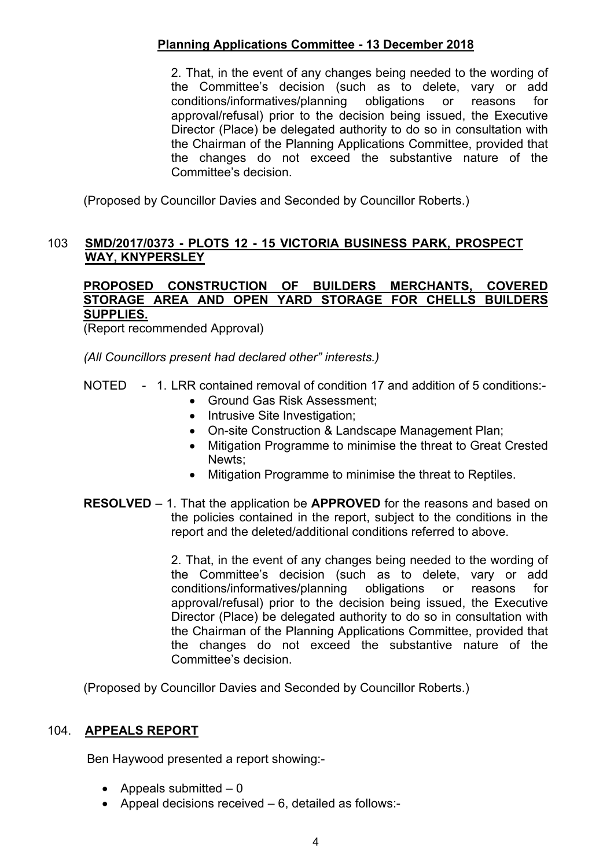2. That, in the event of any changes being needed to the wording of the Committee's decision (such as to delete, vary or add conditions/informatives/planning obligations or reasons for approval/refusal) prior to the decision being issued, the Executive Director (Place) be delegated authority to do so in consultation with the Chairman of the Planning Applications Committee, provided that the changes do not exceed the substantive nature of the Committee's decision.

(Proposed by Councillor Davies and Seconded by Councillor Roberts.)

#### 103 **SMD/2017/0373 - PLOTS 12 - 15 VICTORIA BUSINESS PARK, PROSPECT WAY, KNYPERSLEY**

#### **PROPOSED CONSTRUCTION OF BUILDERS MERCHANTS, COVERED STORAGE AREA AND OPEN YARD STORAGE FOR CHELLS BUILDERS SUPPLIES.**

(Report recommended Approval)

*(All Councillors present had declared other" interests.)*

- NOTED 1. LRR contained removal of condition 17 and addition of 5 conditions:-
	- Ground Gas Risk Assessment;
	- Intrusive Site Investigation;
	- On-site Construction & Landscape Management Plan;
	- Mitigation Programme to minimise the threat to Great Crested Newts;
	- Mitigation Programme to minimise the threat to Reptiles.
- **RESOLVED** 1. That the application be **APPROVED** for the reasons and based on the policies contained in the report, subject to the conditions in the report and the deleted/additional conditions referred to above.

2. That, in the event of any changes being needed to the wording of the Committee's decision (such as to delete, vary or add conditions/informatives/planning obligations or reasons for approval/refusal) prior to the decision being issued, the Executive Director (Place) be delegated authority to do so in consultation with the Chairman of the Planning Applications Committee, provided that the changes do not exceed the substantive nature of the Committee's decision.

(Proposed by Councillor Davies and Seconded by Councillor Roberts.)

#### 104. **APPEALS REPORT**

Ben Haywood presented a report showing:-

- Appeals submitted  $-0$
- Appeal decisions received  $-6$ , detailed as follows:-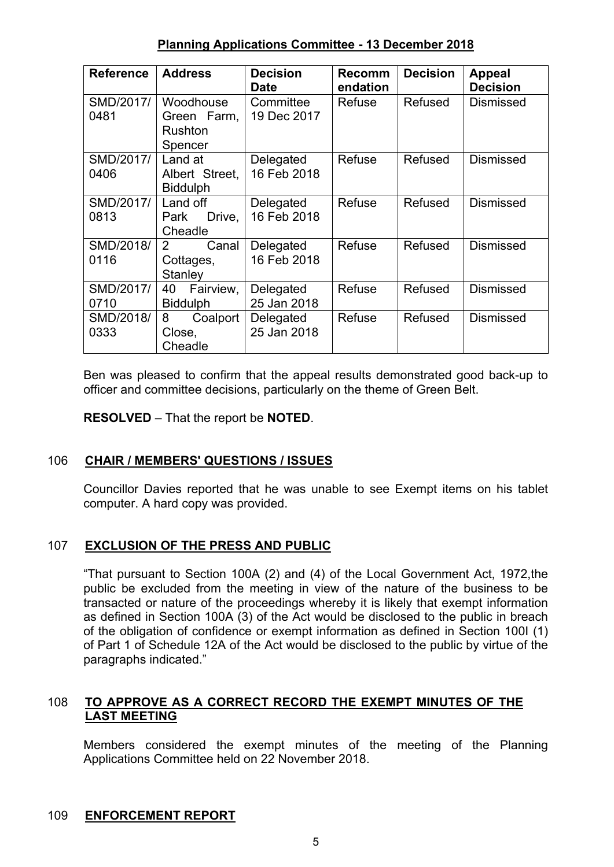| <b>Reference</b>  | <b>Address</b>                                 | <b>Decision</b><br>Date  | <b>Recomm</b><br>endation | <b>Decision</b> | <b>Appeal</b><br><b>Decision</b> |
|-------------------|------------------------------------------------|--------------------------|---------------------------|-----------------|----------------------------------|
| SMD/2017/<br>0481 | Woodhouse<br>Green Farm,<br>Rushton<br>Spencer | Committee<br>19 Dec 2017 | Refuse                    | <b>Refused</b>  | Dismissed                        |
| SMD/2017/<br>0406 | Land at<br>Albert Street.<br><b>Biddulph</b>   | Delegated<br>16 Feb 2018 | Refuse                    | Refused         | <b>Dismissed</b>                 |
| SMD/2017/<br>0813 | Land off<br>Drive,<br>Park<br>Cheadle          | Delegated<br>16 Feb 2018 | Refuse                    | <b>Refused</b>  | <b>Dismissed</b>                 |
| SMD/2018/<br>0116 | Canal<br>2<br>Cottages,<br><b>Stanley</b>      | Delegated<br>16 Feb 2018 | Refuse                    | Refused         | <b>Dismissed</b>                 |
| SMD/2017/<br>0710 | Fairview,<br>40<br><b>Biddulph</b>             | Delegated<br>25 Jan 2018 | Refuse                    | Refused         | <b>Dismissed</b>                 |
| SMD/2018/<br>0333 | 8<br>Coalport<br>Close,<br>Cheadle             | Delegated<br>25 Jan 2018 | Refuse                    | Refused         | <b>Dismissed</b>                 |

Ben was pleased to confirm that the appeal results demonstrated good back-up to officer and committee decisions, particularly on the theme of Green Belt.

**RESOLVED** – That the report be **NOTED**.

## 106 **CHAIR / MEMBERS' QUESTIONS / ISSUES**

Councillor Davies reported that he was unable to see Exempt items on his tablet computer. A hard copy was provided.

## 107 **EXCLUSION OF THE PRESS AND PUBLIC**

"That pursuant to Section 100A (2) and (4) of the Local Government Act, 1972,the public be excluded from the meeting in view of the nature of the business to be transacted or nature of the proceedings whereby it is likely that exempt information as defined in Section 100A (3) of the Act would be disclosed to the public in breach of the obligation of confidence or exempt information as defined in Section 100I (1) of Part 1 of Schedule 12A of the Act would be disclosed to the public by virtue of the paragraphs indicated."

## 108 **TO APPROVE AS A CORRECT RECORD THE EXEMPT MINUTES OF THE LAST MEETING**

Members considered the exempt minutes of the meeting of the Planning Applications Committee held on 22 November 2018.

#### 109 **ENFORCEMENT REPORT**